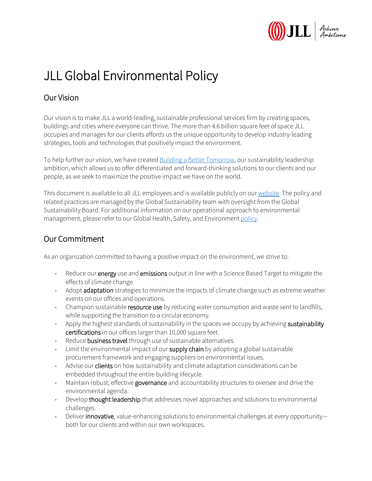

## JLL Global Environmental Policy

## Our Vision

Our vision is to make JLL a world-leading, sustainable professional services firm by creating spaces, buildings and cities where everyone can thrive. The more than 4.6 billion square feet of space JLL occupies and manages for our clients affords us the unique opportunity to develop industry-leading strategies, tools and technologies that positively impact the environment.

To help further our vision, we have created [Building a Better Tomorrow,](https://www.us.jll.com/en/about-jll/our-sustainability-leadership) our sustainability leadership ambition, which allows us to offer differentiated and forward-thinking solutions to our clients and our people, as we seek to maximize the positive impact we have on the world.

This document is available to all JLL employees and is available publicly on our [website.](https://www.us.jll.com/en/about-jll) The policy and related practices are managed by the Global Sustainability team with oversight from the Global Sustainability Board. For additional information on our operational approach to environmental management, please refer to our Global Health, Safety, and Environmen[t policy.](https://www.us.jll.com/content/dam/jll-com/images/company-information/global-health-and-safety-policy-2018.pdf)

## Our Commitment

As an organization committed to having a positive impact on the environment, we strive to:

- Reduce our energy use and emissions output in line with a Science Based Target to mitigate the effects of climate change.
- Adopt adaptation strategies to minimize the impacts of climate change such as extreme weather events on our offices and operations.
- Champion sustainable resource use by reducing water consumption and waste sent to landfills, while supporting the transition to a circular economy.
- Apply the highest standards of sustainability in the spaces we occupy by achieving sustainability certifications in our offices larger than 10,000 square feet.
- Reduce business travel through use of sustainable alternatives.
- Limit the environmental impact of our supply chain by adopting a global sustainable procurement framework and engaging suppliers on environmental issues.
- Advise our **clients** on how sustainability and climate adaptation considerations can be embedded throughout the entire building lifecycle.
- Maintain robust, effective governance and accountability structures to oversee and drive the environmental agenda.
- Develop thought leadership that addresses novel approaches and solutions to environmental challenges.
- Deliver innovative, value-enhancing solutions to environmental challenges at every opportunityboth for our clients and within our own workspaces.